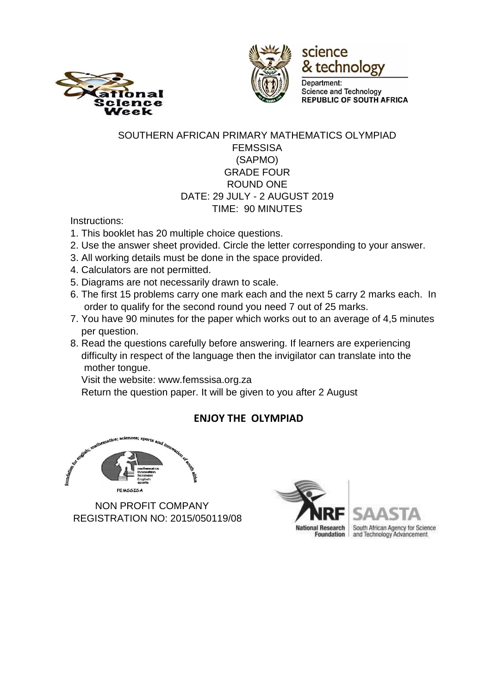



science & technology

Department: **Science and Technology REPUBLIC OF SOUTH AFRICA** 

### SOUTHERN AFRICAN PRIMARY MATHEMATICS OLYMPIAD FEMSSISA (SAPMO) GRADE FOUR ROUND ONE DATE: 29 JULY - 2 AUGUST 2019 TIME: 90 MINUTES

Instructions:

- 1. This booklet has 20 multiple choice questions.
- 2. Use the answer sheet provided. Circle the letter corresponding to your answer.
- 3. All working details must be done in the space provided.
- 4. Calculators are not permitted.
- 5. Diagrams are not necessarily drawn to scale.
- 6. The first 15 problems carry one mark each and the next 5 carry 2 marks each. In order to qualify for the second round you need 7 out of 25 marks.
- 7. You have 90 minutes for the paper which works out to an average of 4,5 minutes per question.
- 8. Read the questions carefully before answering. If learners are experiencing difficulty in respect of the language then the invigilator can translate into the mother tongue.

Visit the website: www.femssisa.org.za

Return the question paper. It will be given to you after 2 August

# **ENJOY THE OLYMPIAD**



 NON PROFIT COMPANY REGISTRATION NO: 2015/050119/08

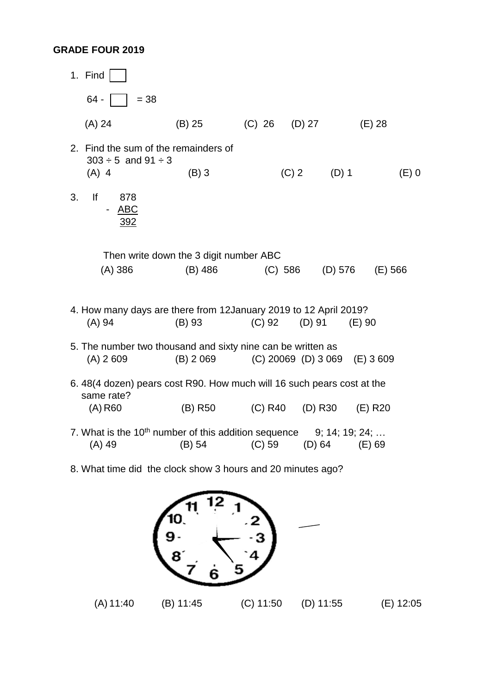#### **GRADE FOUR 2019**

- 1. Find  $64 - |$   $= 38$  (A) 24 (B) 25 (C) 26 (D) 27 (E) 28 2. Find the sum of the remainders of  $303 \div 5$  and  $91 \div 3$  (A) 4 (B) 3 3. If 878 ABC 392 (C) 2 (D) 1 (E) 0 Then write down the 3 digit number ABC (A) 386 (B) 486 (C) 586 (D) 576 (E) 566 4. How many days are there from 12January 2019 to 12 April 2019? (A) 94 (B) 93 (C) 92 (D) 91 (E) 90 5. The number two thousand and sixty nine can be written as (A) 2 609 (B) 2 069 (C) 20069 (D) 3 069 (E) 3 609 6. 48(4 dozen) pears cost R90. How much will 16 such pears cost at the same rate? (A) R60 (B) R50 (C) R40 (D) R30 (E) R20 7. What is the  $10^{th}$  number of this addition sequence  $9; 14; 19; 24; \ldots$ (A) 49 (B) 54 (C) 59 (D) 64 (E) 69
- 8. What time did the clock show 3 hours and 20 minutes ago?



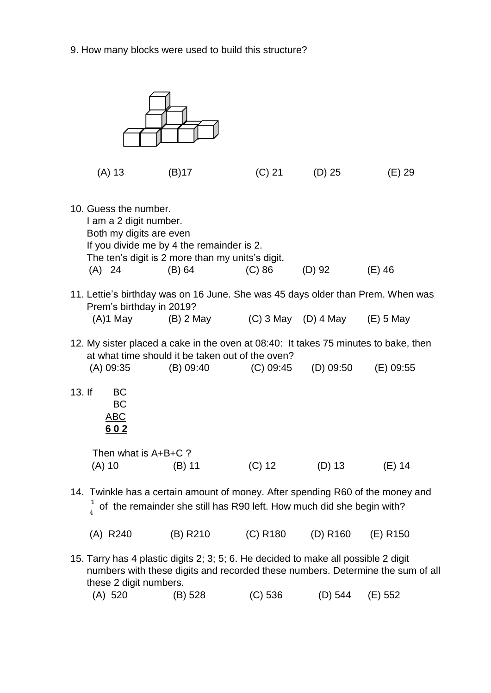9. How many blocks were used to build this structure?



| (A) 520 | (B) 528 | (C) 536 | (D) 544 | (E) 552 |
|---------|---------|---------|---------|---------|
|         |         |         |         |         |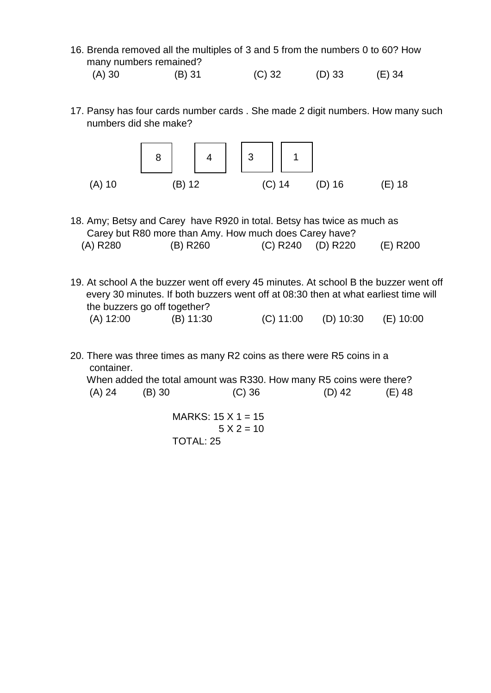- 16. Brenda removed all the multiples of 3 and 5 from the numbers 0 to 60? How many numbers remained?
- (A) 30 (B) 31 (C) 32 (D) 33 (E) 34
- 17. Pansy has four cards number cards . She made 2 digit numbers. How many such numbers did she make?



- 18. Amy; Betsy and Carey have R920 in total. Betsy has twice as much as Carey but R80 more than Amy. How much does Carey have? (A) R280 (B) R260 (C) R240 (D) R220 (E) R200
- 19. At school A the buzzer went off every 45 minutes. At school B the buzzer went off every 30 minutes. If both buzzers went off at 08:30 then at what earliest time will the buzzers go off together? (A) 12:00 (B) 11:30 (C) 11:00 (D) 10:30 (E) 10:00
- 20. There was three times as many R2 coins as there were R5 coins in a container.

 When added the total amount was R330. How many R5 coins were there? (A) 24 (B) 30 (C) 36 (D) 42 (E) 48

> MARKS:  $15 \times 1 = 15$  $5 X 2 = 10$ TOTAL: 25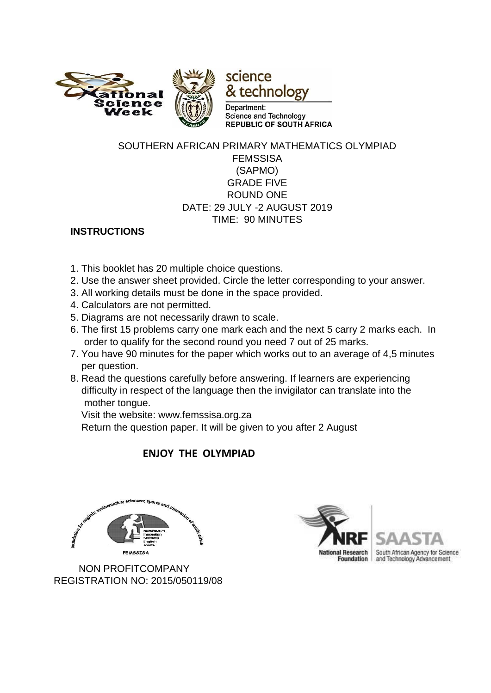

#### SOUTHERN AFRICAN PRIMARY MATHEMATICS OLYMPIAD FEMSSISA (SAPMO) GRADE FIVE ROUND ONE DATE: 29 JULY -2 AUGUST 2019 TIME: 90 MINUTES

### **INSTRUCTIONS**

- 1. This booklet has 20 multiple choice questions.
- 2. Use the answer sheet provided. Circle the letter corresponding to your answer.
- 3. All working details must be done in the space provided.
- 4. Calculators are not permitted.
- 5. Diagrams are not necessarily drawn to scale.
- 6. The first 15 problems carry one mark each and the next 5 carry 2 marks each. In order to qualify for the second round you need 7 out of 25 marks.
- 7. You have 90 minutes for the paper which works out to an average of 4,5 minutes per question.
- 8. Read the questions carefully before answering. If learners are experiencing difficulty in respect of the language then the invigilator can translate into the mother tongue.

Visit the website: www.femssisa.org.za

Return the question paper. It will be given to you after 2 August

### **ENJOY THE OLYMPIAD**



 NON PROFITCOMPANY REGISTRATION NO: 2015/050119/08



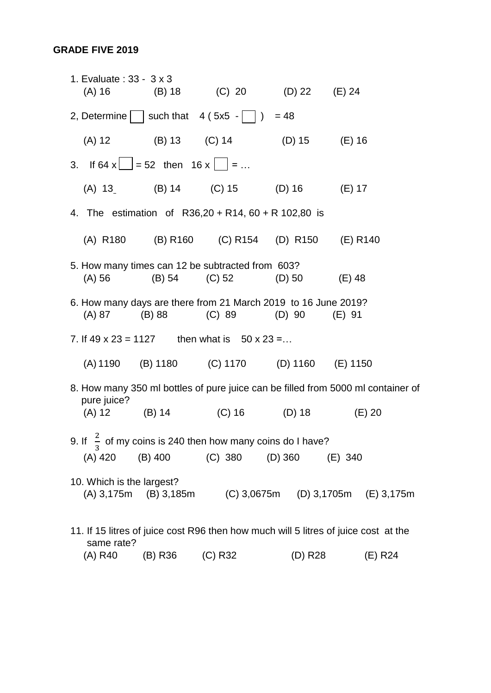### **GRADE FIVE 2019**

|                                                                                                   | 1. Evaluate: 33 - 3 x 3<br>$(A)$ 16 |                                                                         | (B) 18 (C) 20 (D) 22 (E) 24                                              |          |                                                          |  |
|---------------------------------------------------------------------------------------------------|-------------------------------------|-------------------------------------------------------------------------|--------------------------------------------------------------------------|----------|----------------------------------------------------------|--|
|                                                                                                   |                                     |                                                                         | 2, Determine   $ $ such that 4 (5x5 - $ $ $ $ ) = 48                     |          |                                                          |  |
|                                                                                                   | $(A)$ 12                            |                                                                         | (B) 13 (C) 14 (D) 15 (E) 16                                              |          |                                                          |  |
|                                                                                                   |                                     | 3. If 64 x $\boxed{\phantom{0}}$ = 52 then 16 x $\boxed{\phantom{0}}$ = |                                                                          |          |                                                          |  |
|                                                                                                   |                                     |                                                                         | (A) 13 (B) 14 (C) 15 (D) 16 (E) 17                                       |          |                                                          |  |
|                                                                                                   |                                     |                                                                         | 4. The estimation of R36,20 + R14, 60 + R 102,80 is                      |          |                                                          |  |
|                                                                                                   |                                     |                                                                         | (A) R180 (B) R160 (C) R154 (D) R150 (E) R140                             |          |                                                          |  |
|                                                                                                   | $(A)$ 56                            |                                                                         | 5. How many times can 12 be subtracted from 603?<br>$(B) 54$ $(C) 52$    | (D) 50   | $(E)$ 48                                                 |  |
|                                                                                                   | (A) 87                              | $(B)$ 88                                                                | 6. How many days are there from 21 March 2019 to 16 June 2019?<br>(C) 89 | $(D)$ 90 | $(E)$ 91                                                 |  |
| 7. If $49 \times 23 = 1127$ then what is $50 \times 23 = $                                        |                                     |                                                                         |                                                                          |          |                                                          |  |
|                                                                                                   |                                     |                                                                         | (A) 1190 (B) 1180 (C) 1170 (D) 1160 (E) 1150                             |          |                                                          |  |
| 8. How many 350 ml bottles of pure juice can be filled from 5000 ml container of<br>pure juice?   |                                     |                                                                         |                                                                          |          |                                                          |  |
|                                                                                                   | $(A) 12$ $(B) 14$                   |                                                                         | $(C) 16$ (D) 18                                                          |          | $(E)$ 20                                                 |  |
| 9. If $\frac{2}{3}$ of my coins is 240 then how many coins do I have?                             |                                     |                                                                         |                                                                          |          |                                                          |  |
|                                                                                                   |                                     |                                                                         | (A) 420 (B) 400 (C) 380 (D) 360                                          |          | (E) 340                                                  |  |
|                                                                                                   | 10. Which is the largest?           |                                                                         |                                                                          |          | (A) 3,175m (B) 3,185m (C) 3,0675m (D) 3,1705m (E) 3,175m |  |
| 11. If 15 litres of juice cost R96 then how much will 5 litres of juice cost at the<br>same rate? |                                     |                                                                         |                                                                          |          |                                                          |  |

(A) R40 (B) R36 (C) R32 (D) R28 (E) R24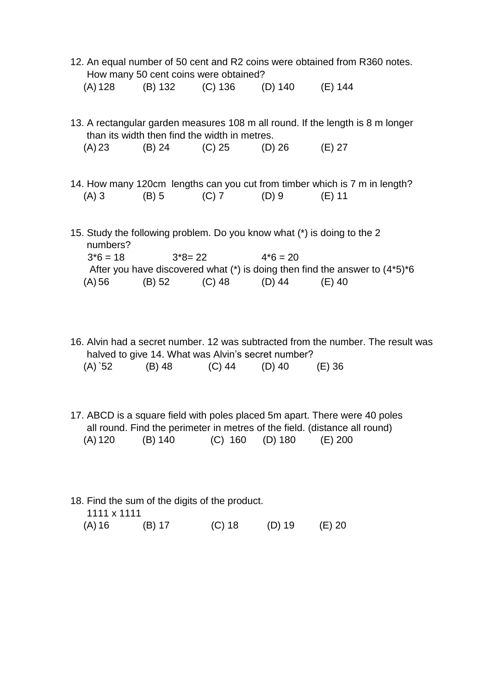|          | How many 50 cent coins were obtained?         |                                         | 12. An equal number of 50 cent and R2 coins were obtained from R360 notes.           |
|----------|-----------------------------------------------|-----------------------------------------|--------------------------------------------------------------------------------------|
|          |                                               | (A) 128 (B) 132 (C) 136 (D) 140 (E) 144 |                                                                                      |
|          | than its width then find the width in metres. |                                         | 13. A rectangular garden measures 108 m all round. If the length is 8 m longer       |
|          |                                               | $(A) 23$ (B) 24 (C) 25 (D) 26 (E) 27    |                                                                                      |
|          |                                               | $(A) 3$ (B) 5 (C) 7 (D) 9               | 14. How many 120cm lengths can you cut from timber which is 7 m in length?<br>(E) 11 |
| numbers? |                                               |                                         | 15. Study the following problem. Do you know what (*) is doing to the 2              |
|          | $3*6 = 18$ $3*8 = 22$ $4*6 = 20$              |                                         |                                                                                      |
|          |                                               |                                         | After you have discovered what $(*)$ is doing then find the answer to $(4*5)*6$      |

16. Alvin had a secret number. 12 was subtracted from the number. The result was halved to give 14. What was Alvin's secret number?

|  | (A)`52 | (B) 48 | $(C)$ 44 | $(D)$ 40 | $(E)$ 36 |
|--|--------|--------|----------|----------|----------|
|--|--------|--------|----------|----------|----------|

(A) 56 (B) 52 (C) 48 (D) 44 (E) 40

17. ABCD is a square field with poles placed 5m apart. There were 40 poles all round. Find the perimeter in metres of the field. (distance all round) (A) 120 (B) 140 (C) 160 (D) 180 (E) 200

18. Find the sum of the digits of the product. 1111 x 1111 (A) 16 (B) 17 (C) 18 (D) 19 (E) 20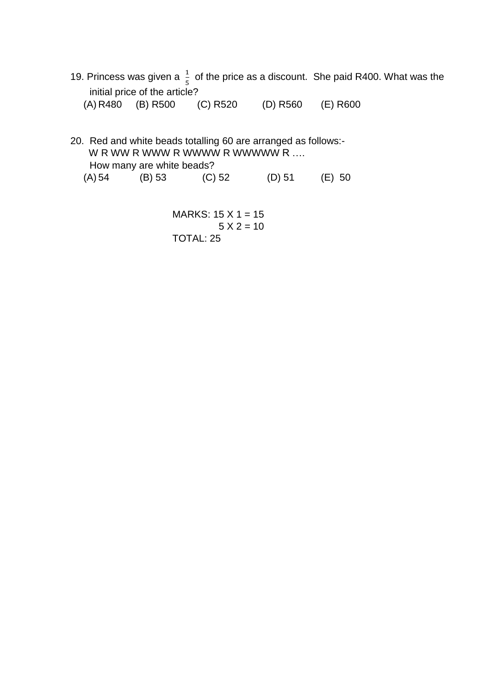19. Princess was given a  $\frac{1}{5}$  of the price as a discount. She paid R400. What was the initial price of the article? (A) R480 (B) R500 (C) R520 (D) R560 (E) R600

20. Red and white beads totalling 60 are arranged as follows:- W R WW R WWW R WWWW R WWWW R .... How many are white beads? (A) 54 (B) 53 (C) 52 (D) 51 (E) 50

> MARKS:  $15 \times 1 = 15$  $5 X 2 = 10$ TOTAL: 25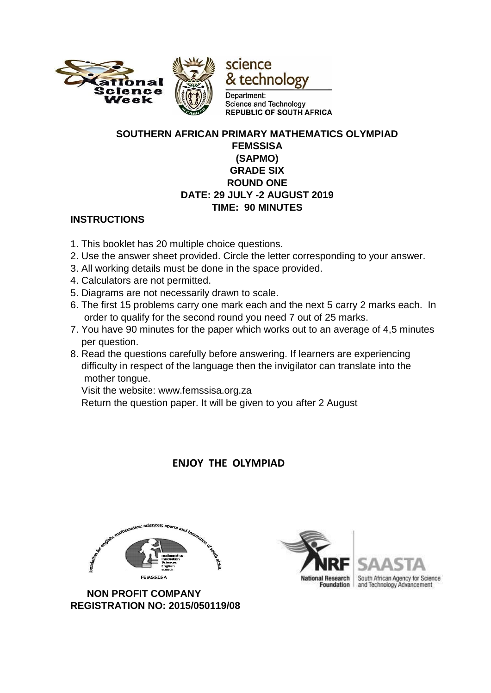

#### **SOUTHERN AFRICAN PRIMARY MATHEMATICS OLYMPIAD FEMSSISA (SAPMO) GRADE SIX ROUND ONE DATE: 29 JULY -2 AUGUST 2019 TIME: 90 MINUTES**

### **INSTRUCTIONS**

- 1. This booklet has 20 multiple choice questions.
- 2. Use the answer sheet provided. Circle the letter corresponding to your answer.
- 3. All working details must be done in the space provided.
- 4. Calculators are not permitted.
- 5. Diagrams are not necessarily drawn to scale.
- 6. The first 15 problems carry one mark each and the next 5 carry 2 marks each. In order to qualify for the second round you need 7 out of 25 marks.
- 7. You have 90 minutes for the paper which works out to an average of 4,5 minutes per question.
- 8. Read the questions carefully before answering. If learners are experiencing difficulty in respect of the language then the invigilator can translate into the mother tongue.

Visit the website: www.femssisa.org.za

Return the question paper. It will be given to you after 2 August

# **ENJOY THE OLYMPIAD**



 **NON PROFIT COMPANY REGISTRATION NO: 2015/050119/08** 



South African Agency for Science and Technology Advancement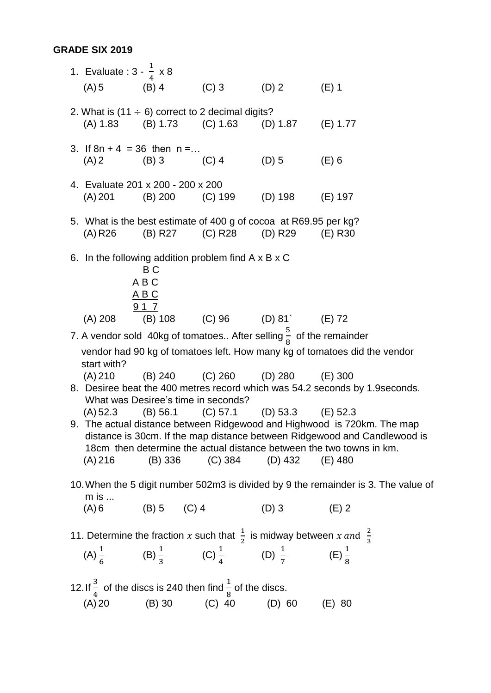#### **GRADE SIX 2019**

1. Evaluate :  $3 - \frac{1}{2}$  $\frac{1}{4} \times 8$  $(A) 5$  (B) 4 (C) 3 (D) 2 (E) 1 2. What is (11  $\div$  6) correct to 2 decimal digits? (A) 1.83 (B) 1.73 (C) 1.63 (D) 1.87 (E) 1.77 3. If  $8n + 4 = 36$  then  $n = ...$  $(A) 2$  (B) 3 (C) 4 (D) 5 (E) 6 4. Evaluate 201 x 200 - 200 x 200 (A) 201 (B) 200 (C) 199 (D) 198 (E) 197 5. What is the best estimate of 400 g of cocoa at R69.95 per kg? (A) R26 (B) R27 (C) R28 (D) R29 (E) R30 6. In the following addition problem find A x B x C B C A B C A B C 9 1 7 (A) 208 (B) 108 (C) 96 (D) 81` (E) 72 7. A vendor sold 40kg of tomatoes.. After selling  $\frac{5}{8}$  of the remainder vendor had 90 kg of tomatoes left. How many kg of tomatoes did the vendor start with? (A) 210 (B) 240 (C) 260 (D) 280 (E) 300 8. Desiree beat the 400 metres record which was 54.2 seconds by 1.9seconds. What was Desiree's time in seconds? (A) 52.3 (B) 56.1 (C) 57.1 (D) 53.3 (E) 52.3 9. The actual distance between Ridgewood and Highwood is 720km. The map distance is 30cm. If the map distance between Ridgewood and Candlewood is 18cm then determine the actual distance between the two towns in km. (A) 216 (B) 336 (C) 384 (D) 432 (E) 480 10.When the 5 digit number 502m3 is divided by 9 the remainder is 3. The value of m is ...  $(A) 6$  (B) 5 (C) 4 (D) 3 (E) 2 11. Determine the fraction x such that  $\frac{1}{2}$  is midway between x and  $\frac{2}{3}$ 3 (A)  $\frac{1}{6}$  (B)  $\frac{1}{3}$  (C)  $\frac{1}{4}$  (D)  $\frac{1}{7}$  (E)  $\frac{1}{8}$ 12. If  $\frac{3}{4}$  of the discs is 240 then find  $\frac{1}{8}$  of the discs. (A) 20 (B) 30 (C) 40 (D) 60 (E) 80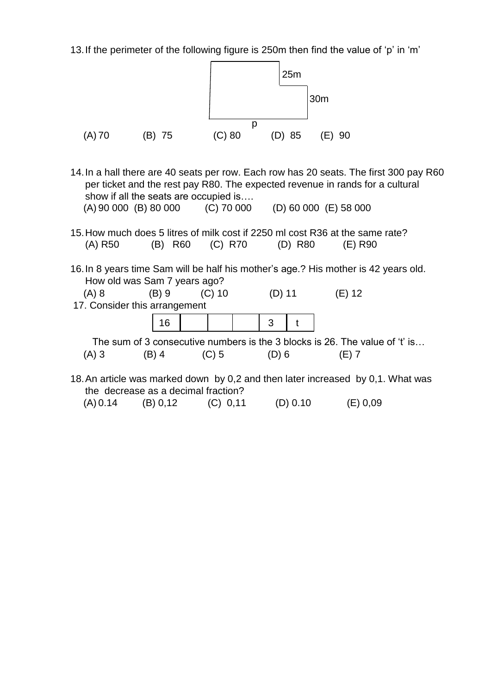13.If the perimeter of the following figure is 250m then find the value of 'p' in 'm'

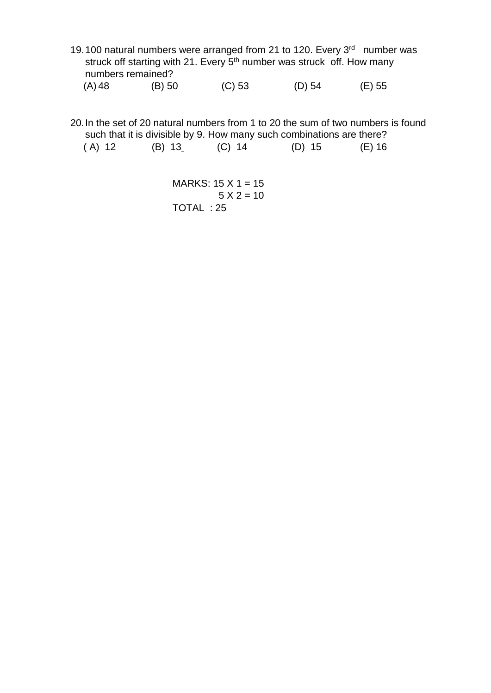19.100 natural numbers were arranged from 21 to 120. Every 3<sup>rd</sup> number was struck off starting with 21. Every 5<sup>th</sup> number was struck off. How many numbers remained? (A) 48 (B) 50 (C) 53 (D) 54 (E) 55

20.In the set of 20 natural numbers from 1 to 20 the sum of two numbers is found such that it is divisible by 9. How many such combinations are there? ( A) 12 (B) 13 (C) 14 (D) 15 (E) 16

> MARKS:  $15 \times 1 = 15$  $5 X 2 = 10$ TOTAL : 25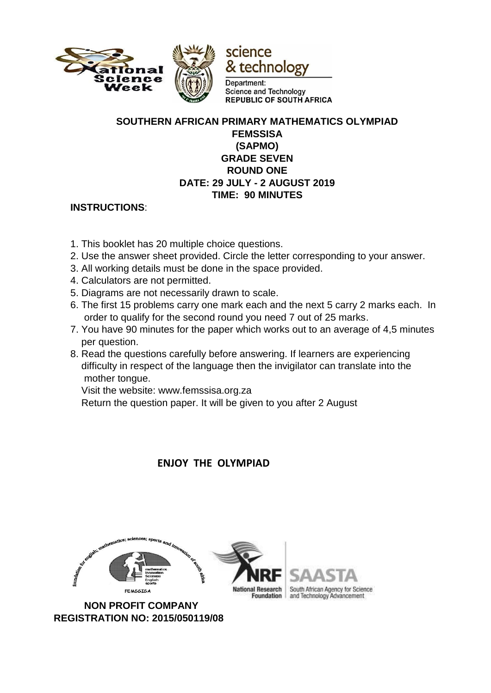

#### **SOUTHERN AFRICAN PRIMARY MATHEMATICS OLYMPIAD FEMSSISA (SAPMO) GRADE SEVEN ROUND ONE DATE: 29 JULY - 2 AUGUST 2019 TIME: 90 MINUTES**

### **INSTRUCTIONS**:

- 1. This booklet has 20 multiple choice questions.
- 2. Use the answer sheet provided. Circle the letter corresponding to your answer.
- 3. All working details must be done in the space provided.
- 4. Calculators are not permitted.
- 5. Diagrams are not necessarily drawn to scale.
- 6. The first 15 problems carry one mark each and the next 5 carry 2 marks each. In order to qualify for the second round you need 7 out of 25 marks.
- 7. You have 90 minutes for the paper which works out to an average of 4,5 minutes per question.
- 8. Read the questions carefully before answering. If learners are experiencing difficulty in respect of the language then the invigilator can translate into the mother tongue.

Visit the website: www.femssisa.org.za

Return the question paper. It will be given to you after 2 August

 **ENJOY THE OLYMPIAD** 







South African Agency for Science **Foundation** and Technology Advancement

 **NON PROFIT COMPANY REGISTRATION NO: 2015/050119/08**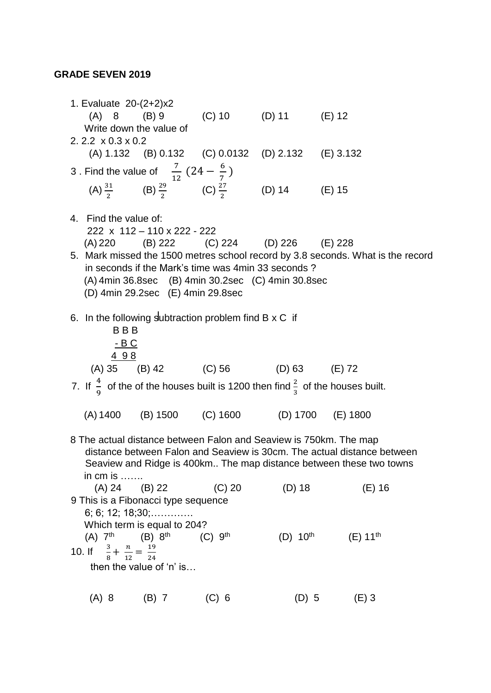# **GRADE SEVEN 2019**

| 1. Evaluate 20-(2+2)x2                              |                                                              |                       | (A) 8 (B) 9 (C) 10 (D) 11 (E) 12                                       |                                                                                                                                                                                                                     |
|-----------------------------------------------------|--------------------------------------------------------------|-----------------------|------------------------------------------------------------------------|---------------------------------------------------------------------------------------------------------------------------------------------------------------------------------------------------------------------|
| Write down the value of                             |                                                              |                       |                                                                        |                                                                                                                                                                                                                     |
| 2.2.2 $\times$ 0.3 $\times$ 0.2                     |                                                              |                       |                                                                        |                                                                                                                                                                                                                     |
|                                                     |                                                              |                       | (A) 1.132 (B) 0.132 (C) 0.0132 (D) 2.132 (E) 3.132                     |                                                                                                                                                                                                                     |
|                                                     | 3. Find the value of $\frac{7}{12}(24-\frac{6}{7})$          |                       |                                                                        |                                                                                                                                                                                                                     |
|                                                     |                                                              |                       | (A) $\frac{31}{2}$ (B) $\frac{29}{2}$ (C) $\frac{27}{2}$ (D) 14 (E) 15 |                                                                                                                                                                                                                     |
| 4. Find the value of:                               | 222 x 112 - 110 x 222 - 222                                  |                       |                                                                        |                                                                                                                                                                                                                     |
|                                                     |                                                              |                       | (A) 220 (B) 222 (C) 224 (D) 226 (E) 228                                |                                                                                                                                                                                                                     |
|                                                     |                                                              |                       |                                                                        | 5. Mark missed the 1500 metres school record by 3.8 seconds. What is the record                                                                                                                                     |
|                                                     |                                                              |                       | in seconds if the Mark's time was 4min 33 seconds?                     |                                                                                                                                                                                                                     |
|                                                     |                                                              |                       | (A) 4min 36.8sec (B) 4min 30.2sec (C) 4min 30.8sec                     |                                                                                                                                                                                                                     |
|                                                     | (D) 4min 29.2sec (E) 4min 29.8sec                            |                       |                                                                        |                                                                                                                                                                                                                     |
| <b>BBB</b><br>$-B C$<br>498                         | 6. In the following subtraction problem find $B \times C$ if |                       |                                                                        |                                                                                                                                                                                                                     |
|                                                     |                                                              |                       | (A) 35 (B) 42 (C) 56 (D) 63 (E) 72                                     |                                                                                                                                                                                                                     |
|                                                     |                                                              |                       |                                                                        |                                                                                                                                                                                                                     |
|                                                     |                                                              |                       |                                                                        | 7. If $\frac{4}{9}$ of the of the houses built is 1200 then find $\frac{2}{3}$ of the houses built.                                                                                                                 |
|                                                     |                                                              |                       | (A) 1400 (B) 1500 (C) 1600 (D) 1700 (E) 1800                           |                                                                                                                                                                                                                     |
| in cm is $\ldots$                                   |                                                              |                       |                                                                        | 8 The actual distance between Falon and Seaview is 750km. The map<br>distance between Falon and Seaview is 30cm. The actual distance between<br>Seaview and Ridge is 400km The map distance between these two towns |
|                                                     | $(A) 24$ $(B) 22$                                            | $(C)$ 20              | (D) 18                                                                 | $(E)$ 16                                                                                                                                                                                                            |
|                                                     | 9 This is a Fibonacci type sequence                          |                       |                                                                        |                                                                                                                                                                                                                     |
|                                                     | 6; 6; 12; 18;30;                                             |                       |                                                                        |                                                                                                                                                                                                                     |
|                                                     | Which term is equal to 204?                                  |                       |                                                                        |                                                                                                                                                                                                                     |
| $(A)$ 7 <sup>th</sup>                               | $(B) 8^{th}$                                                 | $(C)$ 9 <sup>th</sup> | (D) $10^{\text{th}}$                                                   | $(E) 11^{th}$                                                                                                                                                                                                       |
| 10. If $\frac{3}{8} + \frac{n}{12} = \frac{19}{24}$ | then the value of 'n' is                                     |                       |                                                                        |                                                                                                                                                                                                                     |
|                                                     |                                                              |                       |                                                                        |                                                                                                                                                                                                                     |
| $(A)$ 8                                             | $(B)$ 7                                                      | $(C)$ 6               | $(D)$ 5                                                                | $(E)$ 3                                                                                                                                                                                                             |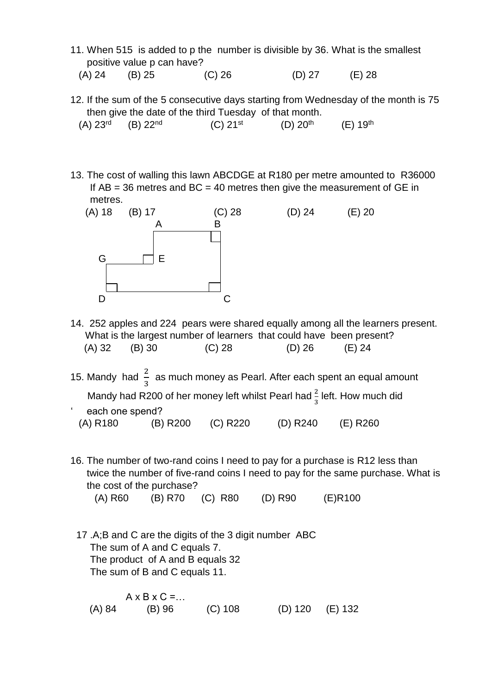11. When 515 is added to p the number is divisible by 36. What is the smallest positive value p can have?

(A) 24 (B) 25 (C) 26 (D) 27 (E) 28

12. If the sum of the 5 consecutive days starting from Wednesday of the month is 75 then give the date of the third Tuesday of that month. E) 19<sup>th</sup>

| $(A)$ 23rd | $(B)$ 22 <sup>nd</sup> | $(C)$ 21 <sup>st</sup> | $(D)$ 20 <sup>th</sup> | ( |
|------------|------------------------|------------------------|------------------------|---|
|            |                        |                        |                        |   |

13. The cost of walling this lawn ABCDGE at R180 per metre amounted to R36000 If  $AB = 36$  metres and  $BC = 40$  metres then give the measurement of GE in metres.



- 14. 252 apples and 224 pears were shared equally among all the learners present. What is the largest number of learners that could have been present? (A) 32 (B) 30 (C) 28 (D) 26 (E) 24
- 15. Mandy had  $\frac{2}{3}$  as much money as Pearl. After each spent an equal amount Mandy had R200 of her money left whilst Pearl had  $\frac{2}{3}$  left. How much did each one spend? (A) R180 (B) R200 (C) R220 (D) R240 (E) R260
- 16. The number of two-rand coins I need to pay for a purchase is R12 less than twice the number of five-rand coins I need to pay for the same purchase. What is the cost of the purchase?

(A) R60 (B) R70 (C) R80 (D) R90 (E)R100

 17 .A;B and C are the digits of the 3 digit number ABC The sum of A and C equals 7. The product of A and B equals 32 The sum of B and C equals 11.

 $A \times B \times C = \dots$ (A) 84 (B) 96 (C) 108 (D) 120 (E) 132